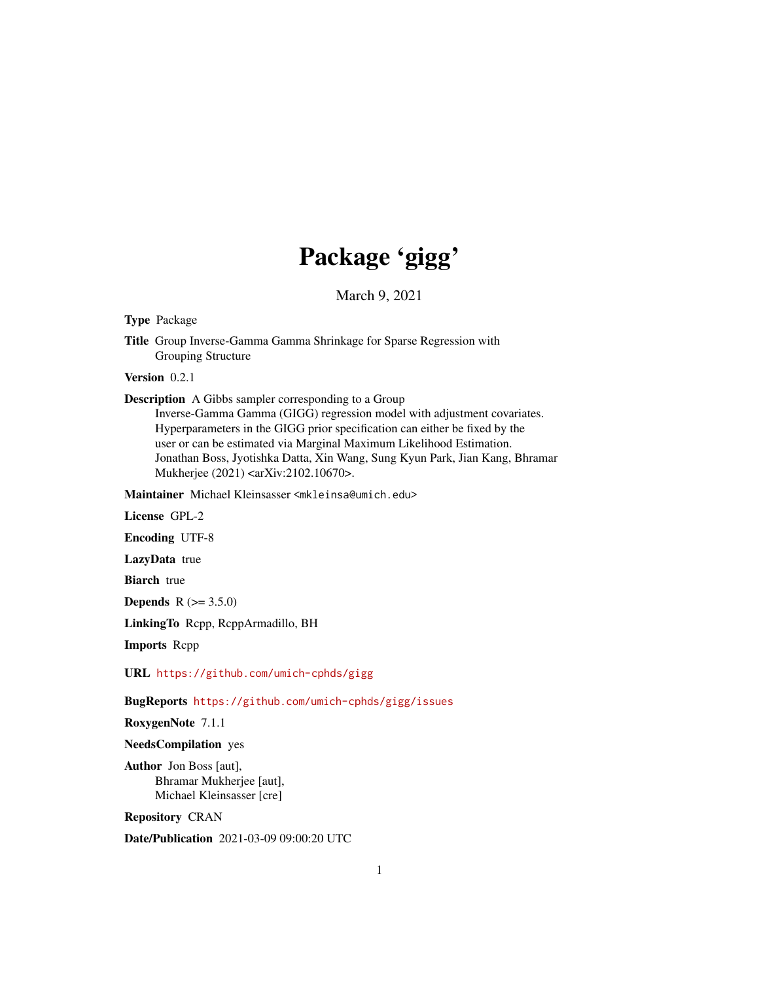# Package 'gigg'

March 9, 2021

Type Package

Title Group Inverse-Gamma Gamma Shrinkage for Sparse Regression with Grouping Structure

Version 0.2.1

Description A Gibbs sampler corresponding to a Group

Inverse-Gamma Gamma (GIGG) regression model with adjustment covariates. Hyperparameters in the GIGG prior specification can either be fixed by the user or can be estimated via Marginal Maximum Likelihood Estimation. Jonathan Boss, Jyotishka Datta, Xin Wang, Sung Kyun Park, Jian Kang, Bhramar Mukherjee (2021) <arXiv:2102.10670>.

Maintainer Michael Kleinsasser <mkleinsa@umich.edu>

License GPL-2

Encoding UTF-8

LazyData true

**Biarch** true

**Depends**  $R (= 3.5.0)$ 

LinkingTo Rcpp, RcppArmadillo, BH

Imports Rcpp

URL <https://github.com/umich-cphds/gigg>

BugReports <https://github.com/umich-cphds/gigg/issues>

RoxygenNote 7.1.1

NeedsCompilation yes

Author Jon Boss [aut], Bhramar Mukherjee [aut], Michael Kleinsasser [cre]

Repository CRAN

Date/Publication 2021-03-09 09:00:20 UTC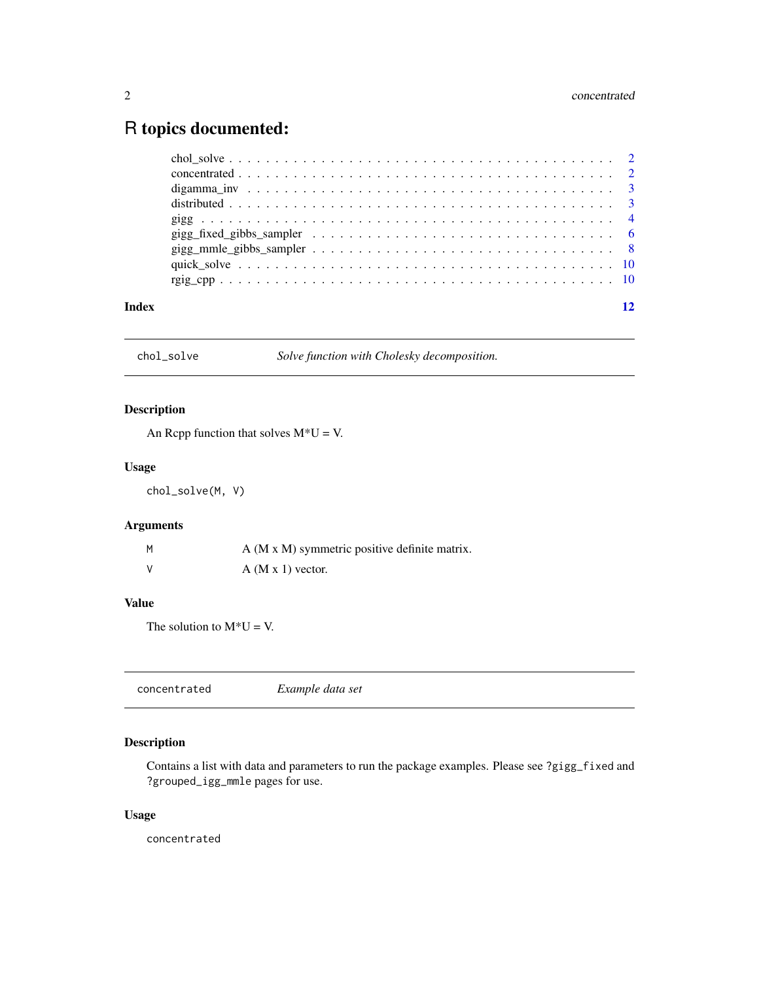# <span id="page-1-0"></span>R topics documented:

| Index |  |
|-------|--|

chol\_solve *Solve function with Cholesky decomposition.*

### Description

An Rcpp function that solves  $M^*U = V$ .

#### Usage

chol\_solve(M, V)

## Arguments

| M | A (M x M) symmetric positive definite matrix. |
|---|-----------------------------------------------|
| V | $A$ (M x 1) vector.                           |

### Value

The solution to  $M^*U = V$ .

|--|--|

### Description

Contains a list with data and parameters to run the package examples. Please see ?gigg\_fixed and ?grouped\_igg\_mmle pages for use.

#### Usage

concentrated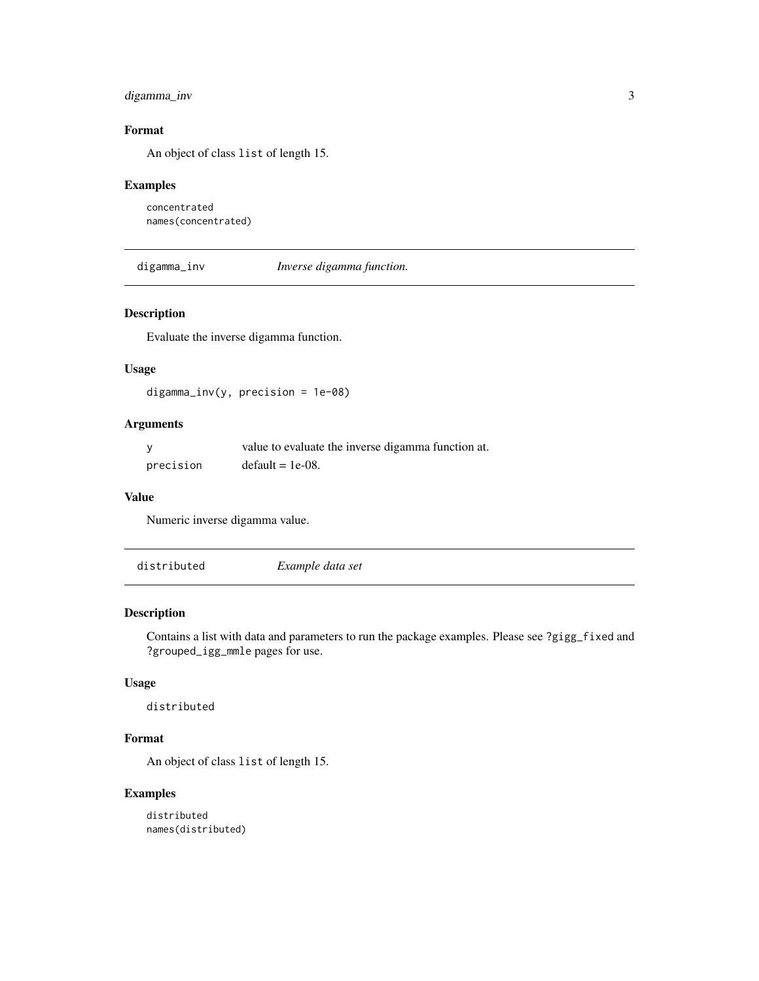#### <span id="page-2-0"></span>digamma\_inv 3

#### Format

An object of class list of length 15.

#### Examples

```
concentrated
names(concentrated)
```
digamma\_inv *Inverse digamma function.*

#### Description

Evaluate the inverse digamma function.

#### Usage

 $digamma_inv(y, precision = 1e-08)$ 

#### Arguments

|           | value to evaluate the inverse digamma function at. |
|-----------|----------------------------------------------------|
| precision | $default = 1e-08.$                                 |

#### Value

Numeric inverse digamma value.

distributed *Example data set*

### Description

Contains a list with data and parameters to run the package examples. Please see ?gigg\_fixed and ?grouped\_igg\_mmle pages for use.

#### Usage

distributed

#### Format

An object of class list of length 15.

#### Examples

distributed names(distributed)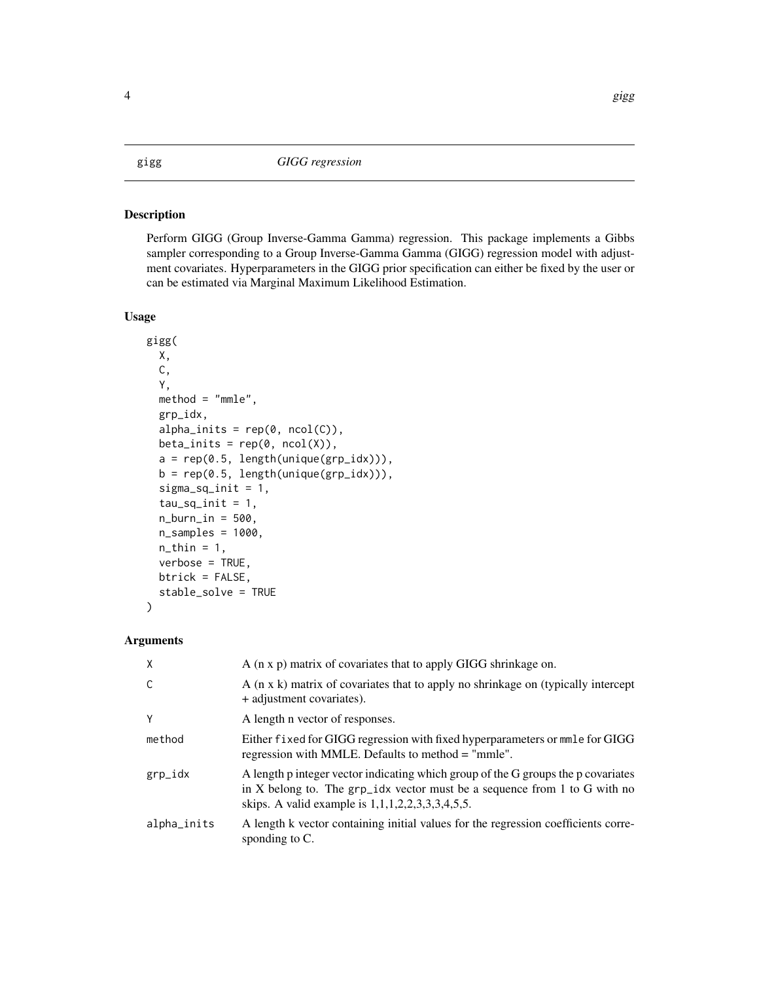#### <span id="page-3-0"></span>Description

Perform GIGG (Group Inverse-Gamma Gamma) regression. This package implements a Gibbs sampler corresponding to a Group Inverse-Gamma Gamma (GIGG) regression model with adjustment covariates. Hyperparameters in the GIGG prior specification can either be fixed by the user or can be estimated via Marginal Maximum Likelihood Estimation.

#### Usage

```
gigg(
 X,
  C,
  Y,
  method = "mmle",grp_idx,
  alpha_inits = rep(0, ncol(C)),beta_inits = rep(0, ncol(X)),a = rep(0.5, length(unique(grp_idx))),b = rep(0.5, length(unique(grp_idx))),
  signa_sq_init = 1,
  tau_sq_init = 1,
  n_burn_in = 500,
  n_samples = 1000,
  n_{\text{th}}in = 1,
  verbose = TRUE,
 btrick = FALSE,
  stable_solve = TRUE
)
```
### Arguments

| X           | A (n x p) matrix of covariates that to apply GIGG shrinkage on.                                                                                                                                                          |
|-------------|--------------------------------------------------------------------------------------------------------------------------------------------------------------------------------------------------------------------------|
| C           | A (n x k) matrix of covariates that to apply no shrinkage on (typically intercept<br>+ adjustment covariates).                                                                                                           |
| Y           | A length n vector of responses.                                                                                                                                                                                          |
| method      | Either fixed for GIGG regression with fixed hyperparameters or mmle for GIGG<br>regression with MMLE. Defaults to method = "mmle".                                                                                       |
| grp_idx     | A length p integer vector indicating which group of the G groups the p covariates<br>in X belong to. The $grp\_idx$ vector must be a sequence from 1 to G with no<br>skips. A valid example is $1,1,1,2,2,3,3,3,4,5,5$ . |
| alpha_inits | A length k vector containing initial values for the regression coefficients corre-<br>sponding to $C$ .                                                                                                                  |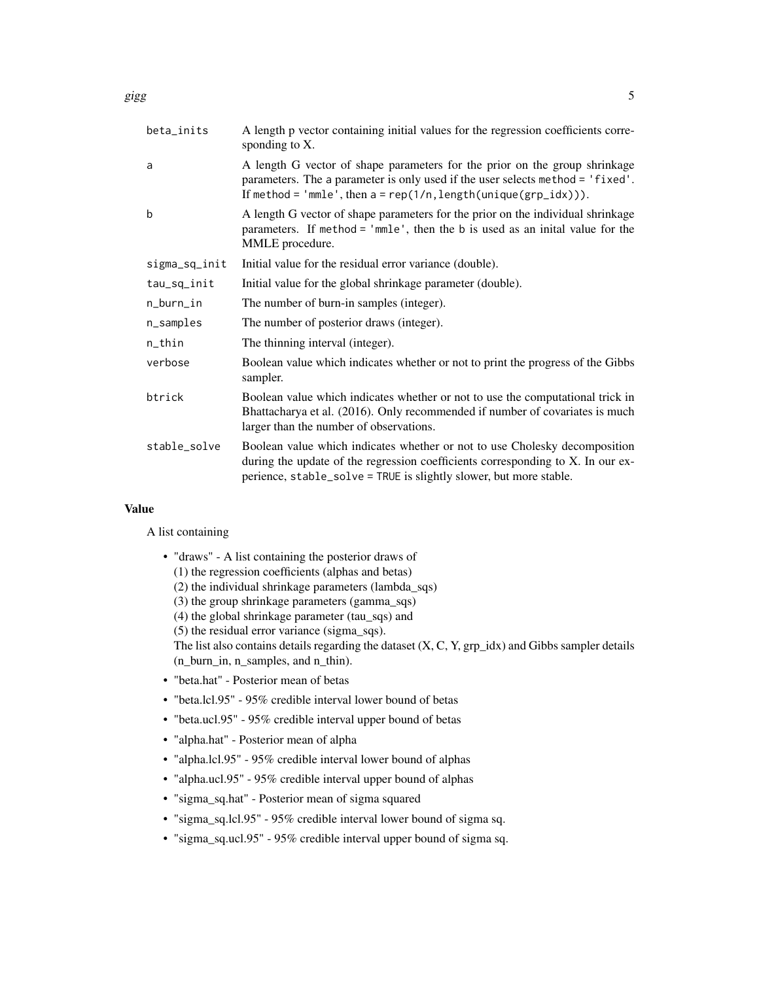| beta_inits    | A length p vector containing initial values for the regression coefficients corre-<br>sponding to X.                                                                                                                                |
|---------------|-------------------------------------------------------------------------------------------------------------------------------------------------------------------------------------------------------------------------------------|
| a             | A length G vector of shape parameters for the prior on the group shrinkage<br>parameters. The a parameter is only used if the user selects method = 'fixed'.<br>If method = 'mmle', then $a = rep(1/n, length(unique(grp_idx))).$   |
| þ             | A length G vector of shape parameters for the prior on the individual shrinkage<br>parameters. If method = 'mmle', then the b is used as an inital value for the<br>MMLE procedure.                                                 |
| sigma_sq_init | Initial value for the residual error variance (double).                                                                                                                                                                             |
| tau_sq_init   | Initial value for the global shrinkage parameter (double).                                                                                                                                                                          |
| n_burn_in     | The number of burn-in samples (integer).                                                                                                                                                                                            |
| n_samples     | The number of posterior draws (integer).                                                                                                                                                                                            |
| n_thin        | The thinning interval (integer).                                                                                                                                                                                                    |
| verbose       | Boolean value which indicates whether or not to print the progress of the Gibbs<br>sampler.                                                                                                                                         |
| btrick        | Boolean value which indicates whether or not to use the computational trick in<br>Bhattacharya et al. (2016). Only recommended if number of covariates is much<br>larger than the number of observations.                           |
| stable_solve  | Boolean value which indicates whether or not to use Cholesky decomposition<br>during the update of the regression coefficients corresponding to X. In our ex-<br>perience, stable_solve = TRUE is slightly slower, but more stable. |

#### Value

A list containing

- "draws" A list containing the posterior draws of
	- (1) the regression coefficients (alphas and betas)
	- (2) the individual shrinkage parameters (lambda\_sqs)
	- (3) the group shrinkage parameters (gamma\_sqs)
	- (4) the global shrinkage parameter (tau\_sqs) and
	- (5) the residual error variance (sigma\_sqs).

The list also contains details regarding the dataset (X, C, Y, grp\_idx) and Gibbs sampler details (n\_burn\_in, n\_samples, and n\_thin).

- "beta.hat" Posterior mean of betas
- "beta.lcl.95" 95% credible interval lower bound of betas
- "beta.ucl.95" 95% credible interval upper bound of betas
- "alpha.hat" Posterior mean of alpha
- "alpha.lcl.95" 95% credible interval lower bound of alphas
- "alpha.ucl.95" 95% credible interval upper bound of alphas
- "sigma\_sq.hat" Posterior mean of sigma squared
- "sigma\_sq.lcl.95" 95% credible interval lower bound of sigma sq.
- "sigma\_sq.ucl.95" 95% credible interval upper bound of sigma sq.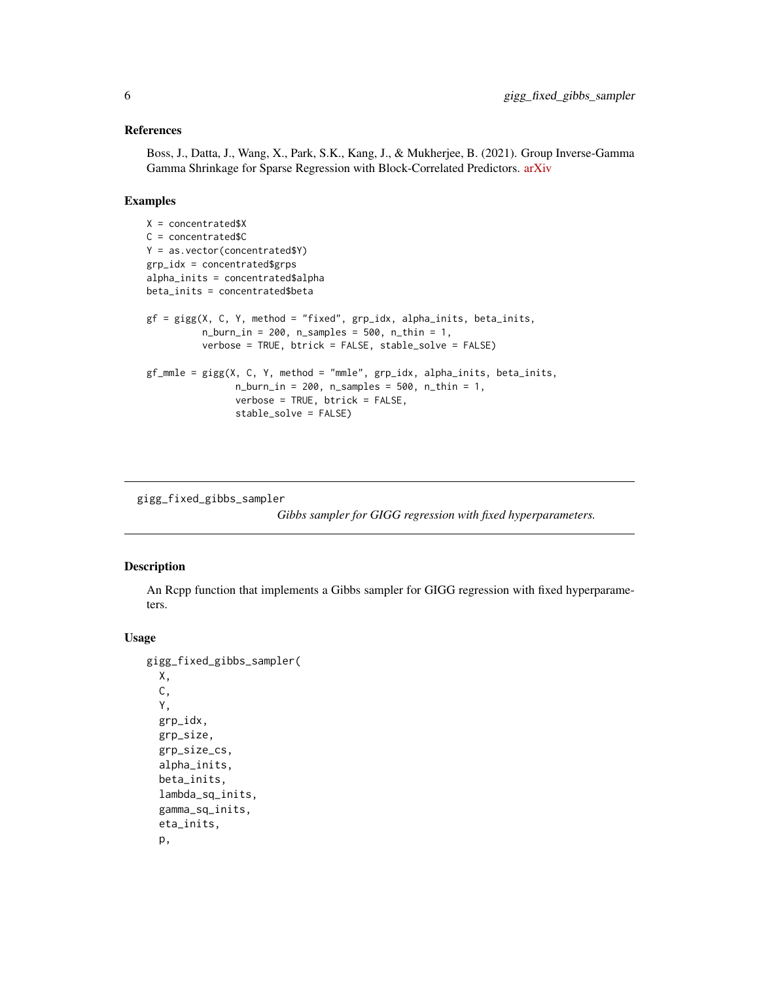#### <span id="page-5-0"></span>References

Boss, J., Datta, J., Wang, X., Park, S.K., Kang, J., & Mukherjee, B. (2021). Group Inverse-Gamma Gamma Shrinkage for Sparse Regression with Block-Correlated Predictors. [arXiv](https://arxiv.org/abs/2102.10670)

#### Examples

```
X = concentrated $X
C = concentrated$C
Y = as.vector(concentrated$Y)
grp_idx = concentrated$grps
alpha_inits = concentrated$alpha
beta_inits = concentrated$beta
gf = gigg(X, C, Y, method = "fixed", grp_idx, alpha_inits, beta_inits,
          n_burn_in = 200, n_samples = 500, n_thin = 1,
          verbose = TRUE, btrick = FALSE, stable_solve = FALSE)
gf_mmle = gigg(X, C, Y, method = "mmle", grp_idx, alpha_inits, beta_inits,
                n_burn_in = 200, n_samples = 500, n_thin = 1,
                verbose = TRUE, btrick = FALSE,
                stable_solve = FALSE)
```
gigg\_fixed\_gibbs\_sampler

*Gibbs sampler for GIGG regression with fixed hyperparameters.*

#### Description

An Rcpp function that implements a Gibbs sampler for GIGG regression with fixed hyperparameters.

#### Usage

```
gigg_fixed_gibbs_sampler(
 X,
 C,
  Y,
  grp_idx,
  grp_size,
 grp_size_cs,
  alpha_inits,
 beta_inits,
  lambda_sq_inits,
  gamma_sq_inits,
  eta_inits,
  p,
```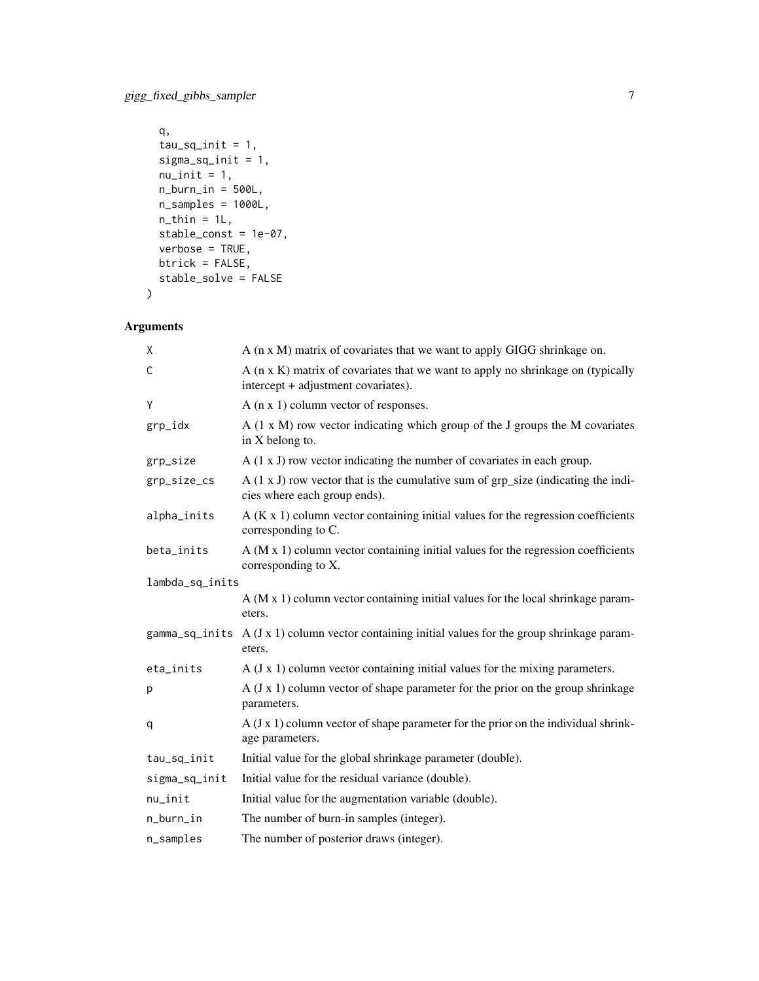```
q,
 tau_sq_init = 1,
 sigma_sq_init = 1,
 nu\_init = 1,
 n_burn_in = 500L,n_samples = 1000L,
 n_{th} = 1L,
 stable_const = 1e-07,
 verbose = TRUE,
 btrick = FALSE,
 stable_solve = FALSE
\mathcal{L}
```
# Arguments

| X               | A (n x M) matrix of covariates that we want to apply GIGG shrinkage on.                                                  |
|-----------------|--------------------------------------------------------------------------------------------------------------------------|
| C               | $A$ (n x K) matrix of covariates that we want to apply no shrinkage on (typically<br>intercept + adjustment covariates). |
| Y               | A $(n \times 1)$ column vector of responses.                                                                             |
| grp_idx         | $A(1 \times M)$ row vector indicating which group of the J groups the M covariates<br>in X belong to.                    |
| grp_size        | $A(1 x J)$ row vector indicating the number of covariates in each group.                                                 |
| grp_size_cs     | $A(1 x J)$ row vector that is the cumulative sum of grp_size (indicating the indi-<br>cies where each group ends).       |
| alpha_inits     | $A(K x 1)$ column vector containing initial values for the regression coefficients<br>corresponding to C.                |
| beta_inits      | $A$ (M $x$ 1) column vector containing initial values for the regression coefficients<br>corresponding to X.             |
| lambda_sq_inits |                                                                                                                          |
|                 | A (M x 1) column vector containing initial values for the local shrinkage param-<br>eters.                               |
| gamma_sq_inits  | $A$ (J x 1) column vector containing initial values for the group shrinkage param-<br>eters.                             |
| eta_inits       | $A$ (J x 1) column vector containing initial values for the mixing parameters.                                           |
| p               | $A$ (J x 1) column vector of shape parameter for the prior on the group shrinkage<br>parameters.                         |
| q               | $A$ (J x 1) column vector of shape parameter for the prior on the individual shrink-<br>age parameters.                  |
| tau_sq_init     | Initial value for the global shrinkage parameter (double).                                                               |
| sigma_sq_init   | Initial value for the residual variance (double).                                                                        |
| $nu$ _init      | Initial value for the augmentation variable (double).                                                                    |
| n_burn_in       | The number of burn-in samples (integer).                                                                                 |
| n_samples       | The number of posterior draws (integer).                                                                                 |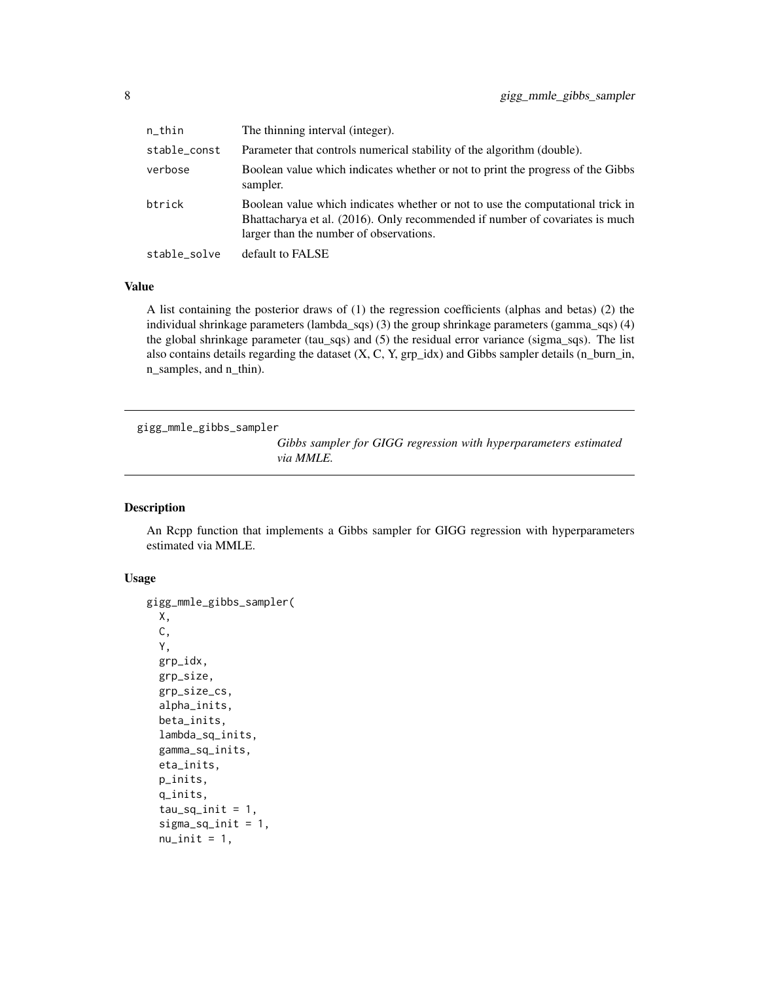<span id="page-7-0"></span>

| n_thin       | The thinning interval (integer).                                                                                                                                                                          |
|--------------|-----------------------------------------------------------------------------------------------------------------------------------------------------------------------------------------------------------|
| stable_const | Parameter that controls numerical stability of the algorithm (double).                                                                                                                                    |
| verbose      | Boolean value which indicates whether or not to print the progress of the Gibbs<br>sampler.                                                                                                               |
| btrick       | Boolean value which indicates whether or not to use the computational trick in<br>Bhattacharya et al. (2016). Only recommended if number of covariates is much<br>larger than the number of observations. |
| stable_solve | default to FALSE                                                                                                                                                                                          |

#### Value

A list containing the posterior draws of (1) the regression coefficients (alphas and betas) (2) the individual shrinkage parameters (lambda\_sqs) (3) the group shrinkage parameters (gamma\_sqs) (4) the global shrinkage parameter (tau\_sqs) and (5) the residual error variance (sigma\_sqs). The list also contains details regarding the dataset  $(X, C, Y, grp_idx)$  and Gibbs sampler details  $(n\_burn_in,$ n\_samples, and n\_thin).

```
gigg_mmle_gibbs_sampler
```
*Gibbs sampler for GIGG regression with hyperparameters estimated via MMLE.*

#### Description

An Rcpp function that implements a Gibbs sampler for GIGG regression with hyperparameters estimated via MMLE.

#### Usage

```
gigg_mmle_gibbs_sampler(
 X,
 C,
  Y,
  grp_idx,
  grp_size,
 grp_size_cs,
  alpha_inits,
 beta_inits,
  lambda_sq_inits,
  gamma_sq_inits,
  eta_inits,
 p_inits,
  q_inits,
  tau_sq_init = 1,
  sigma_sq_init = 1,
  nu\_init = 1,
```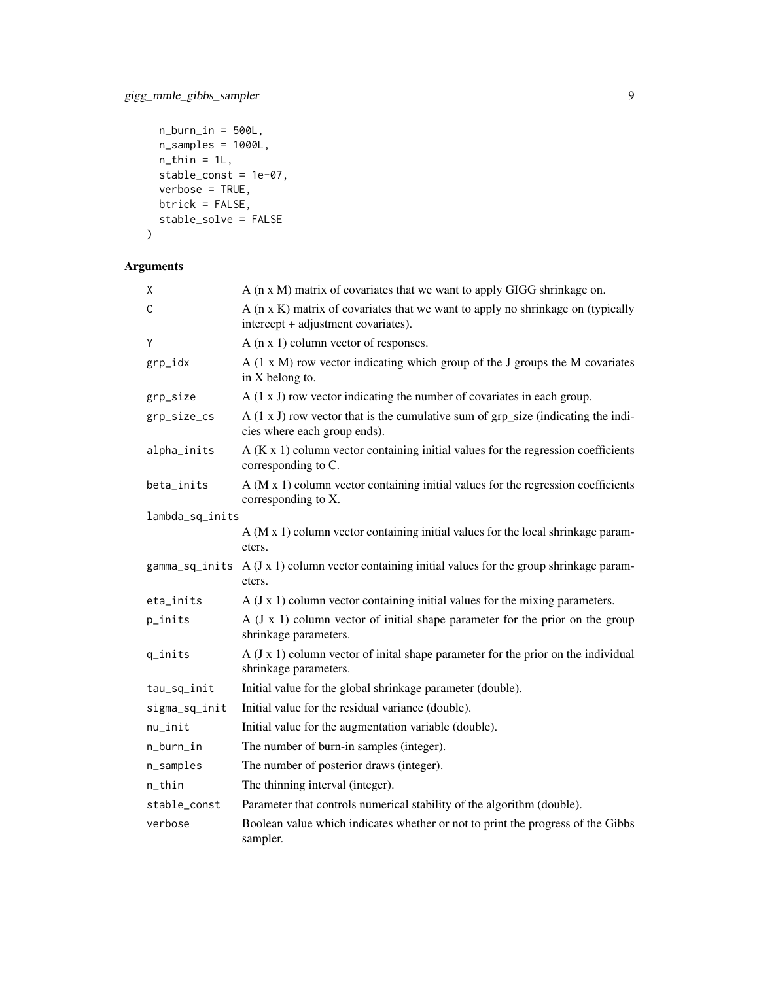```
n_burn_in = 500L,n_samples = 1000L,
  n_{\text{th}}in = 1L,
  stable_const = 1e-07,
  verbose = TRUE,
  btrick = FALSE,
  stable_solve = FALSE
\mathcal{L}
```
### Arguments

| χ               | A (n x M) matrix of covariates that we want to apply GIGG shrinkage on.                                                |
|-----------------|------------------------------------------------------------------------------------------------------------------------|
| C               | A (n x K) matrix of covariates that we want to apply no shrinkage on (typically<br>intercept + adjustment covariates). |
| Ý               | A $(n \times 1)$ column vector of responses.                                                                           |
| grp_idx         | $A$ (1 x M) row vector indicating which group of the J groups the M covariates<br>in X belong to.                      |
| grp_size        | $A(1 x J)$ row vector indicating the number of covariates in each group.                                               |
| grp_size_cs     | $A(1 x J)$ row vector that is the cumulative sum of grp_size (indicating the indi-<br>cies where each group ends).     |
| alpha_inits     | $A(K x 1)$ column vector containing initial values for the regression coefficients<br>corresponding to C.              |
| beta_inits      | $A$ (M $x$ 1) column vector containing initial values for the regression coefficients<br>corresponding to X.           |
| lambda_sq_inits |                                                                                                                        |
|                 | $A$ (M x 1) column vector containing initial values for the local shrinkage param-<br>eters.                           |
| gamma_sq_inits  | A (J x 1) column vector containing initial values for the group shrinkage param-<br>eters.                             |
| eta_inits       | $A$ (J x 1) column vector containing initial values for the mixing parameters.                                         |
| p_inits         | $A (J x 1)$ column vector of initial shape parameter for the prior on the group<br>shrinkage parameters.               |
| q_inits         | $A$ (J x 1) column vector of inital shape parameter for the prior on the individual<br>shrinkage parameters.           |
| tau_sq_init     | Initial value for the global shrinkage parameter (double).                                                             |
| sigma_sq_init   | Initial value for the residual variance (double).                                                                      |
| nu_init         | Initial value for the augmentation variable (double).                                                                  |
| n_burn_in       | The number of burn-in samples (integer).                                                                               |
| n_samples       | The number of posterior draws (integer).                                                                               |
| n_thin          | The thinning interval (integer).                                                                                       |
| stable_const    | Parameter that controls numerical stability of the algorithm (double).                                                 |
| verbose         | Boolean value which indicates whether or not to print the progress of the Gibbs<br>sampler.                            |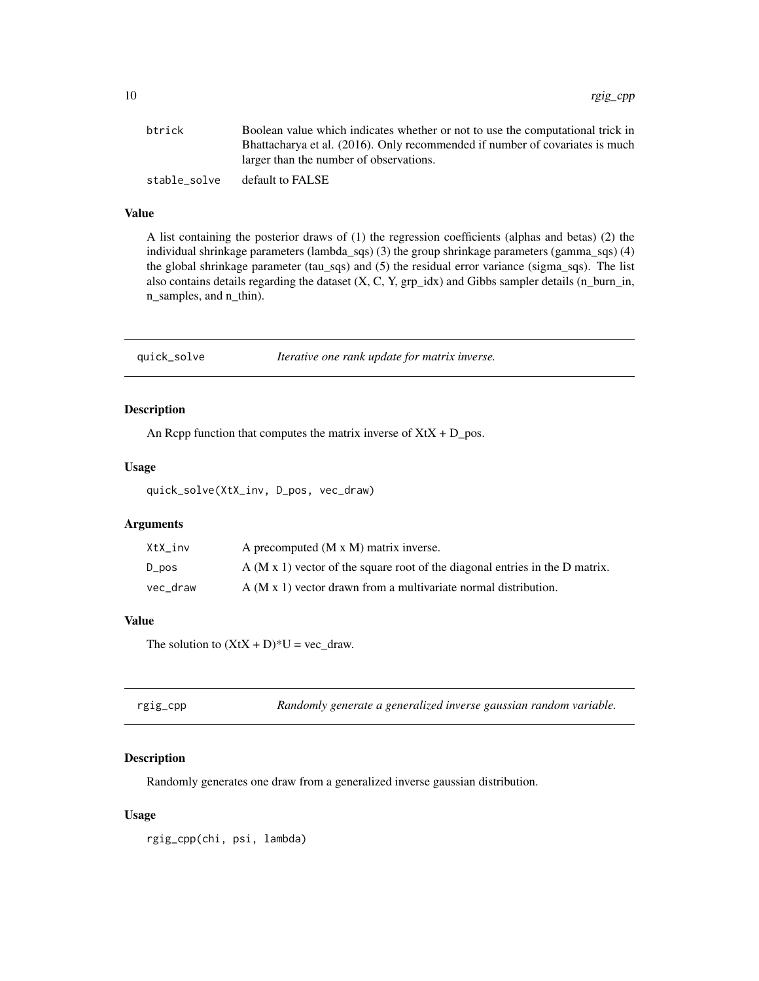<span id="page-9-0"></span>

| btrick       | Boolean value which indicates whether or not to use the computational trick in |
|--------------|--------------------------------------------------------------------------------|
|              | Bhattacharya et al. (2016). Only recommended if number of covariates is much   |
|              | larger than the number of observations.                                        |
| stable solve | default to FALSE                                                               |

#### Value

A list containing the posterior draws of (1) the regression coefficients (alphas and betas) (2) the individual shrinkage parameters (lambda\_sqs) (3) the group shrinkage parameters (gamma\_sqs) (4) the global shrinkage parameter (tau\_sqs) and (5) the residual error variance (sigma\_sqs). The list also contains details regarding the dataset  $(X, C, Y, grp_idx)$  and Gibbs sampler details  $(n\_burn_in,$ n\_samples, and n\_thin).

quick\_solve *Iterative one rank update for matrix inverse.*

#### Description

An Rcpp function that computes the matrix inverse of  $XtX + D_p$  pos.

#### Usage

quick\_solve(XtX\_inv, D\_pos, vec\_draw)

#### Arguments

| XtX inv  | A precomputed $(M \times M)$ matrix inverse.                                   |
|----------|--------------------------------------------------------------------------------|
| D_pos    | $A$ (M x 1) vector of the square root of the diagonal entries in the D matrix. |
| vec draw | $A$ (M x 1) vector drawn from a multivariate normal distribution.              |

#### Value

The solution to  $(XtX + D)^*U = vec_{draw}$ .

#### Description

Randomly generates one draw from a generalized inverse gaussian distribution.

#### Usage

rgig\_cpp(chi, psi, lambda)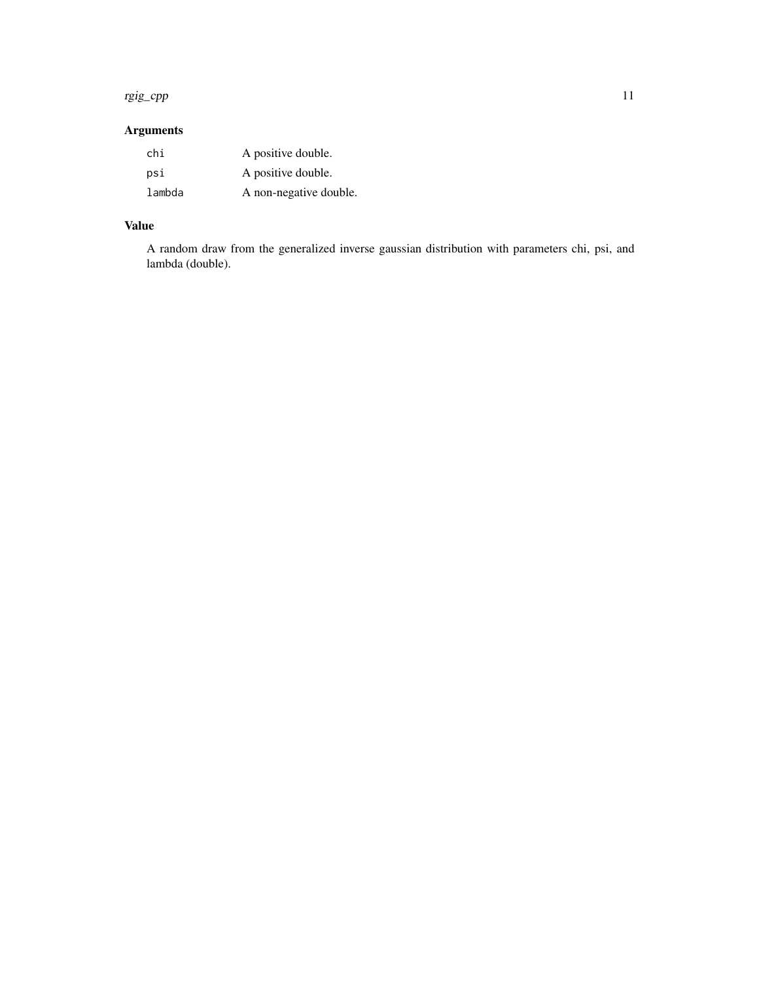#### rgig\_cpp 11

# Arguments

| chi    | A positive double.     |
|--------|------------------------|
| psi    | A positive double.     |
| lambda | A non-negative double. |

## Value

A random draw from the generalized inverse gaussian distribution with parameters chi, psi, and lambda (double).